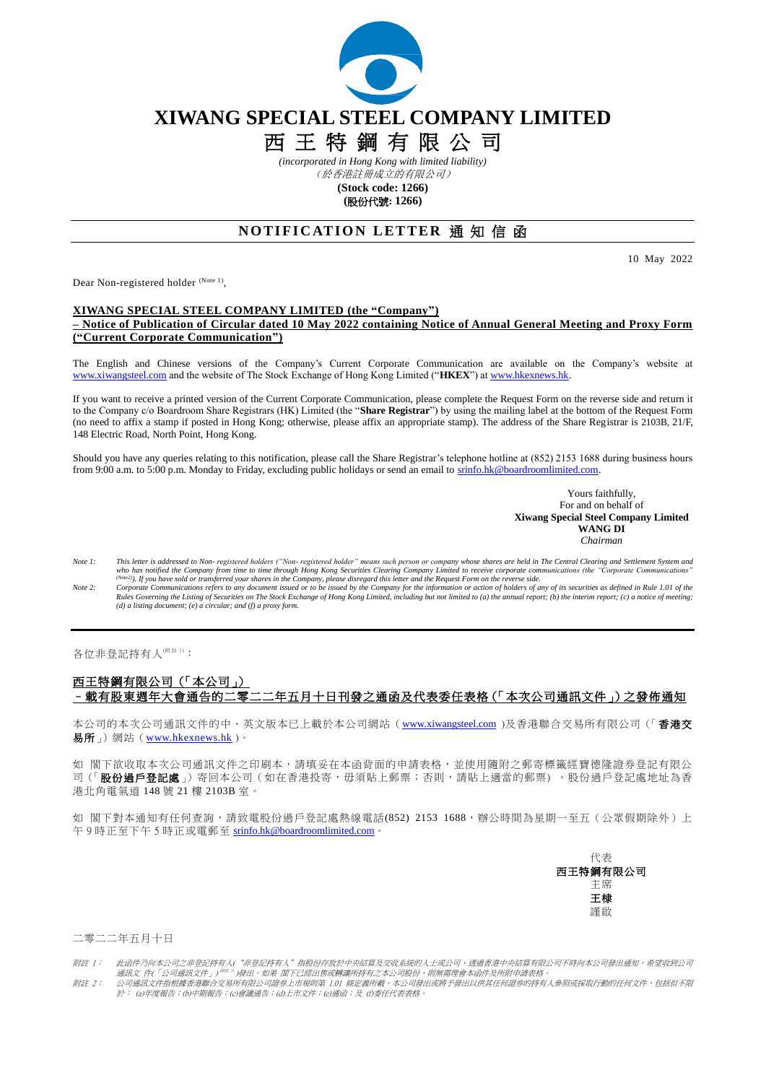

# **XIWANG SPECIAL STEEL COMPANY LIMITED**

# 西 王 特 鋼 有 限 公 司

*(incorporated in Hong Kong with limited liability)* (於香港註冊成立的有限公司)

**(Stock code: 1266) (**股份代號**: 1266)**

# **NOTIFICATION LETTER 通知信函**

10 May 2022

Dear Non-registered holder (Note 1),

### **XIWANG SPECIAL STEEL COMPANY LIMITED (the "Company") – Notice of Publication of Circular dated 10 May 2022 containing Notice of Annual General Meeting and Proxy Form ("Current Corporate Communication")**

The English and Chinese versions of the Company's Current Corporate Communication are available on the Company's website at [www.xiwangsteel.com](http://www.xiwangsteel.com/) and the website of The Stock Exchange of Hong Kong Limited ("**HKEX**") a[t www.hkexnews.hk.](http://www.hkexnews.hk/)

If you want to receive a printed version of the Current Corporate Communication, please complete the Request Form on the reverse side and return it to the Company c/o Boardroom Share Registrars (HK) Limited (the "**Share Registrar**") by using the mailing label at the bottom of the Request Form (no need to affix a stamp if posted in Hong Kong; otherwise, please affix an appropriate stamp). The address of the Share Registrar is 2103B, 21/F, 148 Electric Road, North Point, Hong Kong.

Should you have any queries relating to this notification, please call the Share Registrar's telephone hotline at (852) 2153 1688 during business hours from 9:00 a.m. to 5:00 p.m. Monday to Friday, excluding public holidays or send an email to srinfo.hk@boardroomlimited.com.

> Yours faithfully, For and on behalf of **Xiwang Special Steel Company Limited WANG DI** *Chairman*

- Note 1: This letter is addressed to Non-registered holders ("Non-registered holder" means such person or company whose shares are held in The Central Clearing and Settlement System and<br>who has notified the Company from tim
- Rules Governing the Listing of Securities on The Stock Exchange of Hong Kong Limited, including but not limited to (a) the annual report; (b) the interim report; (c) a notice of meeting;<br>(d) a listing document; (e) a circu

各位非登記持有人(附註1):

# 西王特鋼有限公司(「本公司」) –載有股東週年大會通告的二零二二年五月十日刊發之通函及代表委任表格(「本次公司通訊文件」)之發佈通知

本公司的本次公司通訊文件的中、英文版本已上載於本公司網站([www.xiwangsteel.com](http://www.irasia.com/listco/hk/xingda/index.htm))及香港聯合交易所有限公司(「香港交 易所」)網站([www.hkexnews.hk](http://www.hkexnews.hk/) )。

如 閣下欲收取本次公司通訊文件之印刷本,請填妥在本函背面的申請表格,並使用隨附之郵寄標籤經寶德隆證券登記有限公 司(「股份過戶登記處」)寄回本公司(如在香港投寄,毋須貼上郵票;否則,請貼上適當的郵票)。股份過戶登記處地址為香 港北角電氣道 148 號 21 樓 2103B 室。

如 閣下對本通知有任何查詢,請致電股份過戶登記處熱線電話(852) 2153 1688,辦公時間為星期一至五(公眾假期除外)上 午 9 時正至下午 5 時正或電郵至 [srinfo.hk@boardroomlimited.com](mailto:srinfo.hk@boardroomlimited.com)。



#### 二零二二年五月十日

附註 1: 此函件乃向本公司之非登記持有人("非登記持有人"指股份存放於中央結算及交收系統的人士或公司,透過香港中央結算有限公司不時向本公司發出通知,希望收到公司<br> 通訊文 件(「公司通訊文件」)<sup>@## D</sup>)發出。如果 閣下已經出售或轉讓所持有之本公司股份,則無需理會本函件及所附申請表格。<br>附註 2: 公司通訊文件指根據香港聯合交易所有限公司證券上市規則第 1.01 條定義所載,本公司發出或將予發出以供其任何證券的持有人

於: (a)年度報告;(b)中期報告;(c)會議通告;(d)上市文件;(e)通函;及 (f)委任代表表格。